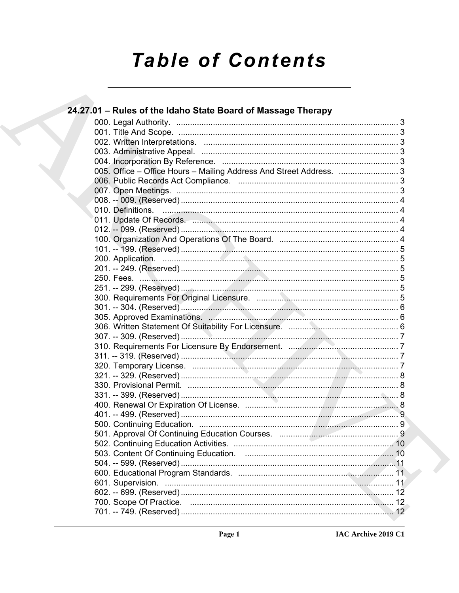# **Table of Contents**

| 24.27.01 - Rules of the Idaho State Board of Massage Therapy                                                    |  |
|-----------------------------------------------------------------------------------------------------------------|--|
|                                                                                                                 |  |
|                                                                                                                 |  |
|                                                                                                                 |  |
|                                                                                                                 |  |
|                                                                                                                 |  |
| 005. Office - Office Hours - Mailing Address And Street Address.  3                                             |  |
|                                                                                                                 |  |
|                                                                                                                 |  |
|                                                                                                                 |  |
|                                                                                                                 |  |
| 011. Update Of Records. 2008. 2008. 2009. 2011. Update Of Records. 2008. 2011. 2012. 2014. 2015. 2016. 2016. 20 |  |
|                                                                                                                 |  |
|                                                                                                                 |  |
|                                                                                                                 |  |
|                                                                                                                 |  |
|                                                                                                                 |  |
|                                                                                                                 |  |
|                                                                                                                 |  |
|                                                                                                                 |  |
|                                                                                                                 |  |
|                                                                                                                 |  |
|                                                                                                                 |  |
|                                                                                                                 |  |
|                                                                                                                 |  |
|                                                                                                                 |  |
|                                                                                                                 |  |
|                                                                                                                 |  |
|                                                                                                                 |  |
|                                                                                                                 |  |
|                                                                                                                 |  |
|                                                                                                                 |  |
|                                                                                                                 |  |
|                                                                                                                 |  |
|                                                                                                                 |  |
|                                                                                                                 |  |
|                                                                                                                 |  |
|                                                                                                                 |  |
|                                                                                                                 |  |
|                                                                                                                 |  |
|                                                                                                                 |  |
|                                                                                                                 |  |
|                                                                                                                 |  |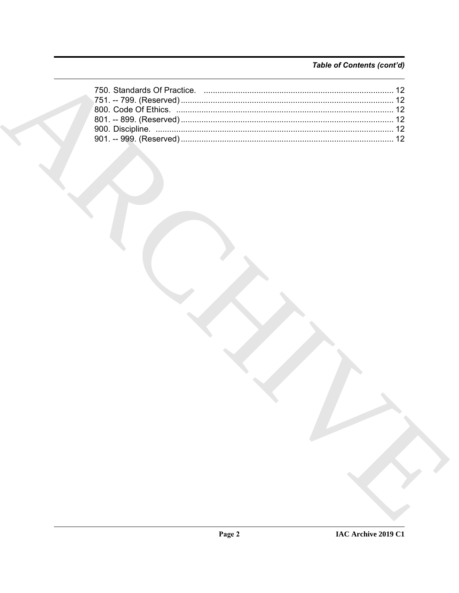### Table of Contents (cont'd)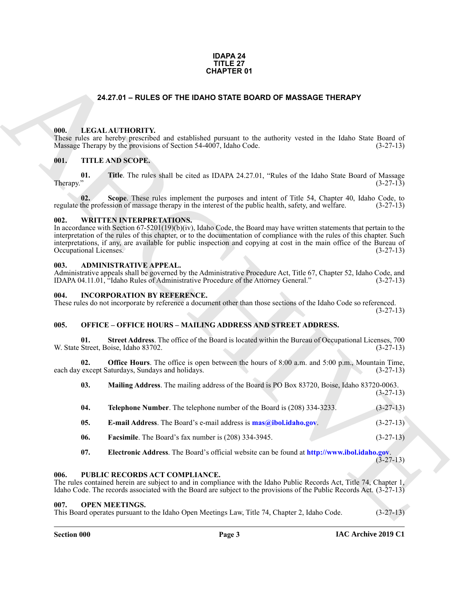#### **IDAPA 24 TITLE 27 CHAPTER 01**

#### **24.27.01 – RULES OF THE IDAHO STATE BOARD OF MASSAGE THERAPY**

#### <span id="page-2-11"></span><span id="page-2-1"></span><span id="page-2-0"></span>**000. LEGAL AUTHORITY.**

These rules are hereby prescribed and established pursuant to the authority vested in the Idaho State Board of Massage Therapy by the provisions of Section 54-4007, Idaho Code. (3-27-13)

#### <span id="page-2-15"></span><span id="page-2-2"></span>**001. TITLE AND SCOPE.**

**01.** Title. The rules shall be cited as IDAPA 24.27.01, "Rules of the Idaho State Board of Massage (3-27-13)  $\mu$  Therapy." (3-27-13)

**02.** Scope. These rules implement the purposes and intent of Title 54, Chapter 40, Idaho Code, to the profession of massage therapy in the interest of the public health, safety, and welfare. (3-27-13) regulate the profession of massage therapy in the interest of the public health, safety, and welfare.

#### <span id="page-2-16"></span><span id="page-2-3"></span>**002. WRITTEN INTERPRETATIONS.**

In accordance with Section 67-5201(19)(b)(iv), Idaho Code, the Board may have written statements that pertain to the interpretation of the rules of this chapter, or to the documentation of compliance with the rules of this chapter. Such interpretations, if any, are available for public inspection and copying at cost in the main office of the Bureau of Occupational Licenses. (3-27-13)

#### <span id="page-2-9"></span><span id="page-2-4"></span>**003. ADMINISTRATIVE APPEAL.**

Administrative appeals shall be governed by the Administrative Procedure Act, Title 67, Chapter 52, Idaho Code, and IDAPA 04.11.01, "Idaho Rules of Administrative Procedure of the Attorney General." (3-27-13)

#### <span id="page-2-10"></span><span id="page-2-5"></span>**004. INCORPORATION BY REFERENCE.**

These rules do not incorporate by reference a document other than those sections of the Idaho Code so referenced. (3-27-13)

#### <span id="page-2-12"></span><span id="page-2-6"></span>**005. OFFICE – OFFICE HOURS – MAILING ADDRESS AND STREET ADDRESS.**

**01. Street Address**. The office of the Board is located within the Bureau of Occupational Licenses, 700 W. State Street, Boise, Idaho 83702. (3-27-13)

**02. Office Hours**. The office is open between the hours of 8:00 a.m. and 5:00 p.m., Mountain Time, each day except Saturdays, Sundays and holidays. (3-27-13)

**CHAPTER 01**<br> **CHAPTER 01**<br> **CHAPTER DOATO STATE BOARD OF MASSAGE THERAPY**<br> **CHAPTER 2018**<br> **CHAPTER 2018 CONFIGURATION** and considered presents in the analogie vessed in the Islam Sam Barati of<br> **CHAPTER 2018 SCOPE**<br> **CH 03. Mailing Address**. The mailing address of the Board is PO Box 83720, Boise, Idaho 83720-0063. (3-27-13) **04. Telephone Number**. The telephone number of the Board is (208) 334-3233. (3-27-13) **05. E-mail Address**. The Board's e-mail address is **mas@ibol.idaho.gov**. (3-27-13) **06. Facsimile**. The Board's fax number is (208) 334-3945. (3-27-13) **07. Electronic Address**. The Board's official website can be found at **http://www.ibol.idaho.gov**.

(3-27-13)

#### <span id="page-2-14"></span><span id="page-2-7"></span>**006. PUBLIC RECORDS ACT COMPLIANCE.**

The rules contained herein are subject to and in compliance with the Idaho Public Records Act, Title 74, Chapter 1, Idaho Code. The records associated with the Board are subject to the provisions of the Public Records Act. (3-27-13)

#### <span id="page-2-13"></span><span id="page-2-8"></span>**007. OPEN MEETINGS.**

This Board operates pursuant to the Idaho Open Meetings Law, Title 74, Chapter 2, Idaho Code. (3-27-13)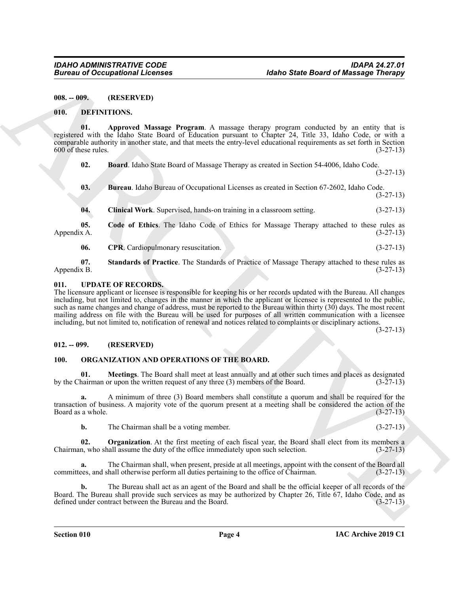<span id="page-3-0"></span>**008. -- 009. (RESERVED)**

#### <span id="page-3-5"></span><span id="page-3-1"></span>**010. DEFINITIONS.**

**01. Approved Massage Program**. A massage therapy program conducted by an entity that is registered with the Idaho State Board of Education pursuant to Chapter 24, Title 33, Idaho Code, or with a comparable authority in another state, and that meets the entry-level educational requirements as set forth in Section  $600$  of these rules.  $(3-27-13)$ 

<span id="page-3-7"></span><span id="page-3-6"></span>**02. Board**. Idaho State Board of Massage Therapy as created in Section 54-4006, Idaho Code.

<span id="page-3-8"></span>**03. Bureau**. Idaho Bureau of Occupational Licenses as created in Section 67-2602, Idaho Code. (3-27-13)

<span id="page-3-10"></span><span id="page-3-9"></span>**04. Clinical Work**. Supervised, hands-on training in a classroom setting. (3-27-13)

**05. Code of Ethics**. The Idaho Code of Ethics for Massage Therapy attached to these rules as  $\Delta$ ppendix A. (3-27-13)

<span id="page-3-12"></span><span id="page-3-11"></span>**06.** CPR. Cardiopulmonary resuscitation. (3-27-13)

**07. Standards of Practice**. The Standards of Practice of Massage Therapy attached to these rules as Appendix B. (3-27-13)

#### <span id="page-3-16"></span><span id="page-3-2"></span>**011. UPDATE OF RECORDS.**

**Eurosis of Occupations I. Leonards**<br> **EULA 1992-1993**<br> **EULA 1992-1993**<br> **EULA 1992-1993-1994**<br> **EULA 1992-1994**<br> **EULA 1992-1994**<br> **EULA 1992-1994**<br> **EULA 1992-1994**<br> **EULA 1992-1994**<br> **EULA 1992-1994**<br> **EULA 1992-1994** The licensure applicant or licensee is responsible for keeping his or her records updated with the Bureau. All changes including, but not limited to, changes in the manner in which the applicant or licensee is represented to the public, such as name changes and change of address, must be reported to the Bureau within thirty (30) days. The most recent mailing address on file with the Bureau will be used for purposes of all written communication with a licensee including, but not limited to, notification of renewal and notices related to complaints or disciplinary actions.

(3-27-13)

(3-27-13)

#### <span id="page-3-3"></span>**012. -- 099. (RESERVED)**

#### <span id="page-3-14"></span><span id="page-3-13"></span><span id="page-3-4"></span>**100. ORGANIZATION AND OPERATIONS OF THE BOARD.**

**01. Meetings**. The Board shall meet at least annually and at other such times and places as designated hairman or upon the written request of any three (3) members of the Board. (3-27-13) by the Chairman or upon the written request of any three  $(3)$  members of the Board.

**a.** A minimum of three (3) Board members shall constitute a quorum and shall be required for the transaction of business. A majority vote of the quorum present at a meeting shall be considered the action of the Board as a whole.

<span id="page-3-15"></span>**b.** The Chairman shall be a voting member. (3-27-13)

**02. Organization**. At the first meeting of each fiscal year, the Board shall elect from its members a Chairman, who shall assume the duty of the office immediately upon such selection.  $(3-27-13)$ 

**a.** The Chairman shall, when present, preside at all meetings, appoint with the consent of the Board all committees, and shall otherwise perform all duties pertaining to the office of Chairman. (3-27-13)

**b.** The Bureau shall act as an agent of the Board and shall be the official keeper of all records of the Board. The Bureau shall provide such services as may be authorized by Chapter 26, Title 67, Idaho Code, and as defined under contract between the Bureau and the Board. (3-27-13) defined under contract between the Bureau and the Board.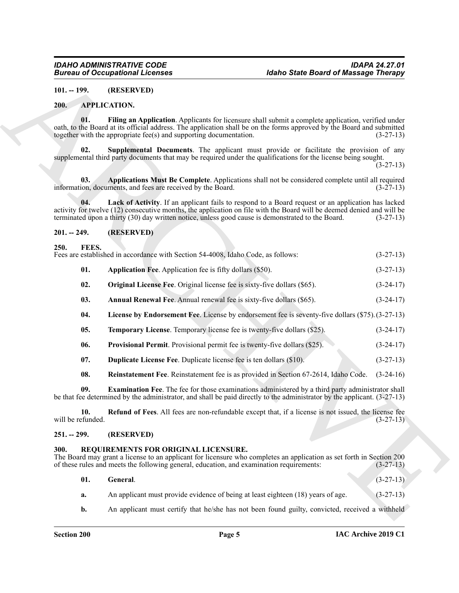#### <span id="page-4-6"></span><span id="page-4-0"></span>**101. -- 199. (RESERVED)**

#### <span id="page-4-10"></span><span id="page-4-8"></span><span id="page-4-1"></span>**200. APPLICATION.**

#### <span id="page-4-9"></span><span id="page-4-7"></span><span id="page-4-2"></span>**201. -- 249. (RESERVED)**

#### <span id="page-4-21"></span><span id="page-4-18"></span><span id="page-4-17"></span><span id="page-4-16"></span><span id="page-4-13"></span><span id="page-4-12"></span><span id="page-4-11"></span><span id="page-4-3"></span>**250. FEES.**

|                          | <b>Bureau of Occupational Licenses</b>                                                                                           | <b>Idaho State Board of Massage Therapy</b>                                                                                                                                                                                                                                                                                      |             |
|--------------------------|----------------------------------------------------------------------------------------------------------------------------------|----------------------------------------------------------------------------------------------------------------------------------------------------------------------------------------------------------------------------------------------------------------------------------------------------------------------------------|-------------|
| $101. - 199.$            | (RESERVED)                                                                                                                       |                                                                                                                                                                                                                                                                                                                                  |             |
| 200.                     | <b>APPLICATION.</b>                                                                                                              |                                                                                                                                                                                                                                                                                                                                  |             |
| 01.                      | together with the appropriate fee(s) and supporting documentation.                                                               | Filing an Application. Applicants for licensure shall submit a complete application, verified under<br>oath, to the Board at its official address. The application shall be on the forms approved by the Board and submitted                                                                                                     | $(3-27-13)$ |
| 02.                      |                                                                                                                                  | Supplemental Documents. The applicant must provide or facilitate the provision of any<br>supplemental third party documents that may be required under the qualifications for the license being sought.                                                                                                                          | $(3-27-13)$ |
| 03.                      | information, documents, and fees are received by the Board.                                                                      | Applications Must Be Complete. Applications shall not be considered complete until all required                                                                                                                                                                                                                                  | $(3-27-13)$ |
| 04.                      |                                                                                                                                  | Lack of Activity. If an applicant fails to respond to a Board request or an application has lacked<br>activity for twelve (12) consecutive months, the application on file with the Board will be deemed denied and will be<br>terminated upon a thirty (30) day written notice, unless good cause is demonstrated to the Board. | $(3-27-13)$ |
| $201. - 249.$            | (RESERVED)                                                                                                                       |                                                                                                                                                                                                                                                                                                                                  |             |
| 250.<br>FEES.            | Fees are established in accordance with Section 54-4008, Idaho Code, as follows:                                                 |                                                                                                                                                                                                                                                                                                                                  | $(3-27-13)$ |
| 01.                      | Application Fee. Application fee is fifty dollars (\$50).                                                                        |                                                                                                                                                                                                                                                                                                                                  | $(3-27-13)$ |
| 02.                      | <b>Original License Fee.</b> Original license fee is sixty-five dollars (\$65).                                                  |                                                                                                                                                                                                                                                                                                                                  | $(3-24-17)$ |
| 03.                      | Annual Renewal Fee. Annual renewal fee is sixty-five dollars (\$65).                                                             |                                                                                                                                                                                                                                                                                                                                  | $(3-24-17)$ |
| 04.                      |                                                                                                                                  | License by Endorsement Fee. License by endorsement fee is seventy-five dollars (\$75). (3-27-13)                                                                                                                                                                                                                                 |             |
| 05.                      | <b>Temporary License.</b> Temporary license fee is twenty-five dollars (\$25).                                                   |                                                                                                                                                                                                                                                                                                                                  | $(3-24-17)$ |
| 06.                      | Provisional Permit. Provisional permit fee is twenty-five dollars (\$25).                                                        |                                                                                                                                                                                                                                                                                                                                  | $(3-24-17)$ |
| 07.                      | <b>Duplicate License Fee.</b> Duplicate license fee is ten dollars (\$10).                                                       |                                                                                                                                                                                                                                                                                                                                  | $(3-27-13)$ |
| 08.                      |                                                                                                                                  | Reinstatement Fee. Reinstatement fee is as provided in Section 67-2614, Idaho Code.                                                                                                                                                                                                                                              | $(3-24-16)$ |
| 09.                      |                                                                                                                                  | <b>Examination Fee.</b> The fee for those examinations administered by a third party administrator shall<br>be that fee determined by the administrator, and shall be paid directly to the administrator by the applicant. (3-27-13)                                                                                             |             |
| 10.<br>will be refunded. |                                                                                                                                  | Refund of Fees. All fees are non-refundable except that, if a license is not issued, the license fee                                                                                                                                                                                                                             | $(3-27-13)$ |
| $251. - 299.$            | (RESERVED)                                                                                                                       |                                                                                                                                                                                                                                                                                                                                  |             |
| 300.                     | REQUIREMENTS FOR ORIGINAL LICENSURE.<br>of these rules and meets the following general, education, and examination requirements: | The Board may grant a license to an applicant for licensure who completes an application as set forth in Section 200                                                                                                                                                                                                             | $(3-27-13)$ |
| 01.                      | General.                                                                                                                         |                                                                                                                                                                                                                                                                                                                                  | $(3-27-13)$ |
| a.                       |                                                                                                                                  | An applicant must provide evidence of being at least eighteen (18) years of age.                                                                                                                                                                                                                                                 | $(3-27-13)$ |
| b.                       |                                                                                                                                  | An applicant must certify that he/she has not been found guilty, convicted, received a withheld                                                                                                                                                                                                                                  |             |

#### <span id="page-4-20"></span><span id="page-4-19"></span><span id="page-4-15"></span><span id="page-4-14"></span><span id="page-4-4"></span>**251. -- 299. (RESERVED)**

#### <span id="page-4-22"></span><span id="page-4-5"></span>**300. REQUIREMENTS FOR ORIGINAL LICENSURE.**

<span id="page-4-23"></span>

| 01. | General.                                                                                        | $(3-27-13)$ |
|-----|-------------------------------------------------------------------------------------------------|-------------|
| а.  | An applicant must provide evidence of being at least eighteen (18) years of age.                | $(3-27-13)$ |
| b.  | An applicant must certify that he/she has not been found guilty, convicted, received a withheld |             |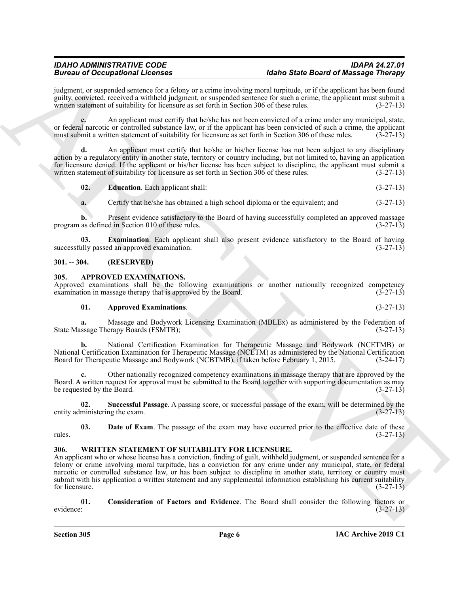judgment, or suspended sentence for a felony or a crime involving moral turpitude, or if the applicant has been found guilty, convicted, received a withheld judgment, or suspended sentence for such a crime, the applicant must submit a written statement of suitability for licensure as set forth in Section 306 of these rules.

**c.** An applicant must certify that he/she has not been convicted of a crime under any municipal, state, or federal narcotic or controlled substance law, or if the applicant has been convicted of such a crime, the applicant must submit a written statement of suitability for licensure as set forth in Section 306 of these rules must submit a written statement of suitability for licensure as set forth in Section 306 of these rules.

**d.** An applicant must certify that he/she or his/her license has not been subject to any disciplinary action by a regulatory entity in another state, territory or country including, but not limited to, having an application for licensure denied. If the applicant or his/her license has been subject to discipline, the applicant must submit a written statement of suitability for licensure as set forth in Section 306 of these rules. (3-27-13)

<span id="page-5-6"></span>**02. Education**. Each applicant shall: (3-27-13)

<span id="page-5-7"></span>**a.** Certify that he/she has obtained a high school diploma or the equivalent; and  $(3-27-13)$ 

**b.** Present evidence satisfactory to the Board of having successfully completed an approved massage program as defined in Section 010 of these rules. (3-27-13)

**03. Examination**. Each applicant shall also present evidence satisfactory to the Board of having ally passed an approved examination. (3-27-13) successfully passed an approved examination.

#### <span id="page-5-0"></span>**301. -- 304. (RESERVED)**

#### <span id="page-5-3"></span><span id="page-5-1"></span>**305. APPROVED EXAMINATIONS.**

Approved examinations shall be the following examinations or another nationally recognized competency examination in massage therapy that is approved by the Board. (3-27-13) examination in massage therapy that is approved by the Board.

#### **01. Approved Examinations**. (3-27-13)

**a.** Massage and Bodywork Licensing Examination (MBLEx) as administered by the Federation of State Massage Therapy Boards (FSMTB); (3-27-13)

**b.** National Certification Examination for Therapeutic Massage and Bodywork (NCETMB) or National Certification Examination for Therapeutic Massage (NCETM) as administered by the National Certification Board for Therapeutic Massage and Bodywork (NCBTMB), if taken before February 1, 2015. (3-24-17)

**c.** Other nationally recognized competency examinations in massage therapy that are approved by the Board. A written request for approval must be submitted to the Board together with supporting documentation as may be requested by the Board.  $(3-27-13)$ 

<span id="page-5-5"></span>**02. Successful Passage**. A passing score, or successful passage of the exam, will be determined by the entity administering the exam.

<span id="page-5-4"></span>**03. Date of Exam**. The passage of the exam may have occurred prior to the effective date of these rules. (3-27-13)

#### <span id="page-5-8"></span><span id="page-5-2"></span>**306. WRITTEN STATEMENT OF SUITABILITY FOR LICENSURE.**

Because of Occupation Licenses<br>
Survey the License of March 2014 (Mark Case of March 2014 (Mark Case of Mark Case of Mark Case of Mark Case of Mark Case of Mark Case of Mark Case of Mark Case of Mark Case of Mark Case of An applicant who or whose license has a conviction, finding of guilt, withheld judgment, or suspended sentence for a felony or crime involving moral turpitude, has a conviction for any crime under any municipal, state, or federal narcotic or controlled substance law, or has been subject to discipline in another state, territory or country must submit with his application a written statement and any supplemental information establishing his current suitability for licensure.  $(3-27-13)$ 

<span id="page-5-9"></span>**01. Consideration of Factors and Evidence**. The Board shall consider the following factors or evidence: (3-27-13)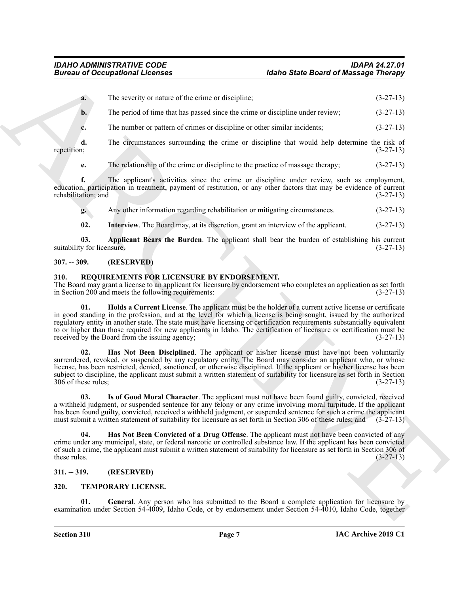|                                   | <b>Bureau of Occupational Licenses</b>                                                             | <b>Idaho State Board of Massage Therapy</b>                                                                                                                                                                                                                                                                                                                                                                                                                                     |             |
|-----------------------------------|----------------------------------------------------------------------------------------------------|---------------------------------------------------------------------------------------------------------------------------------------------------------------------------------------------------------------------------------------------------------------------------------------------------------------------------------------------------------------------------------------------------------------------------------------------------------------------------------|-------------|
| a.                                | The severity or nature of the crime or discipline;                                                 |                                                                                                                                                                                                                                                                                                                                                                                                                                                                                 | $(3-27-13)$ |
| $b$ .                             | The period of time that has passed since the crime or discipline under review;                     |                                                                                                                                                                                                                                                                                                                                                                                                                                                                                 | $(3-27-13)$ |
| c.                                | The number or pattern of crimes or discipline or other similar incidents;                          |                                                                                                                                                                                                                                                                                                                                                                                                                                                                                 | $(3-27-13)$ |
| d.<br>repetition;                 |                                                                                                    | The circumstances surrounding the crime or discipline that would help determine the risk of                                                                                                                                                                                                                                                                                                                                                                                     | $(3-27-13)$ |
| e.                                | The relationship of the crime or discipline to the practice of massage therapy;                    |                                                                                                                                                                                                                                                                                                                                                                                                                                                                                 | $(3-27-13)$ |
| f.<br>rehabilitation; and         |                                                                                                    | The applicant's activities since the crime or discipline under review, such as employment,<br>education, participation in treatment, payment of restitution, or any other factors that may be evidence of current                                                                                                                                                                                                                                                               | $(3-27-13)$ |
| g.                                | Any other information regarding rehabilitation or mitigating circumstances.                        |                                                                                                                                                                                                                                                                                                                                                                                                                                                                                 | $(3-27-13)$ |
| 02.                               | Interview. The Board may, at its discretion, grant an interview of the applicant.                  |                                                                                                                                                                                                                                                                                                                                                                                                                                                                                 | $(3-27-13)$ |
| 03.<br>suitability for licensure. |                                                                                                    | Applicant Bears the Burden. The applicant shall bear the burden of establishing his current                                                                                                                                                                                                                                                                                                                                                                                     | $(3-27-13)$ |
| $307. - 309.$                     | (RESERVED)                                                                                         |                                                                                                                                                                                                                                                                                                                                                                                                                                                                                 |             |
| 310.                              | REQUIREMENTS FOR LICENSURE BY ENDORSEMENT.<br>in Section 200 and meets the following requirements: | The Board may grant a license to an applicant for licensure by endorsement who completes an application as set forth                                                                                                                                                                                                                                                                                                                                                            | $(3-27-13)$ |
| 01.                               | received by the Board from the issuing agency;                                                     | Holds a Current License. The applicant must be the holder of a current active license or certificate<br>in good standing in the profession, and at the level for which a license is being sought, issued by the authorized<br>regulatory entity in another state. The state must have licensing or certification requirements substantially equivalent<br>to or higher than those required for new applicants in Idaho. The certification of licensure or certification must be | $(3-27-13)$ |
| 02.<br>306 of these rules;        |                                                                                                    | Has Not Been Disciplined. The applicant or his/her license must have not been voluntarily<br>surrendered, revoked, or suspended by any regulatory entity. The Board may consider an applicant who, or whose<br>license, has been restricted, denied, sanctioned, or otherwise disciplined. If the applicant or his/her license has been<br>subject to discipline, the applicant must submit a written statement of suitability for licensure as set forth in Section            | $(3-27-13)$ |
| U3.                               |                                                                                                    | Is of Good Moral Character. The applicant must not have been found guilty, convicted, received<br>a withheld judgment, or suspended sentence for any felony or any crime involving moral turpitude. If the applicant<br>has been found guilty, convicted, received a withheld judgment, or suspended sentence for such a crime the applicant<br>must submit a written statement of suitability for licensure as set forth in Section 306 of these rules; and                    | $(3-27-13)$ |
| 04.<br>these rules.               |                                                                                                    | Has Not Been Convicted of a Drug Offense. The applicant must not have been convicted of any<br>crime under any municipal, state, or federal narcotic or controlled substance law. If the applicant has been convicted<br>of such a crime, the applicant must submit a written statement of suitability for licensure as set forth in Section 306 of                                                                                                                             | $(3-27-13)$ |
| $311. - 319.$                     | (RESERVED)                                                                                         |                                                                                                                                                                                                                                                                                                                                                                                                                                                                                 |             |
| 320.                              | TEMPORARY LICENSE.                                                                                 |                                                                                                                                                                                                                                                                                                                                                                                                                                                                                 |             |
| 01.                               |                                                                                                    | General. Any person who has submitted to the Board a complete application for licensure by                                                                                                                                                                                                                                                                                                                                                                                      |             |

#### <span id="page-6-12"></span><span id="page-6-11"></span><span id="page-6-0"></span>**307. -- 309. (RESERVED)**

#### <span id="page-6-7"></span><span id="page-6-6"></span><span id="page-6-4"></span><span id="page-6-1"></span>**310. REQUIREMENTS FOR LICENSURE BY ENDORSEMENT.**

#### <span id="page-6-8"></span><span id="page-6-5"></span><span id="page-6-2"></span>**311. -- 319. (RESERVED)**

#### <span id="page-6-10"></span><span id="page-6-9"></span><span id="page-6-3"></span>**320. TEMPORARY LICENSE.**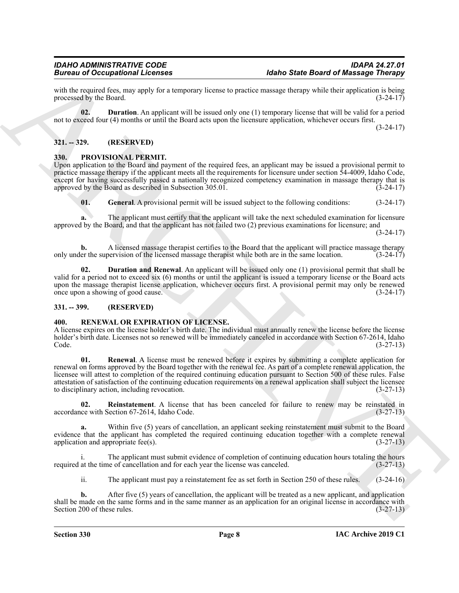with the required fees, may apply for a temporary license to practice massage therapy while their application is being<br>(3-24-17) (3-24-17) processed by the Board.

<span id="page-7-10"></span>**02. Duration**. An applicant will be issued only one (1) temporary license that will be valid for a period not to exceed four (4) months or until the Board acts upon the licensure application, whichever occurs first.

(3-24-17)

#### <span id="page-7-0"></span>**321. -- 329. (RESERVED)**

#### <span id="page-7-4"></span><span id="page-7-1"></span>**330. PROVISIONAL PERMIT.**

Upon application to the Board and payment of the required fees, an applicant may be issued a provisional permit to practice massage therapy if the applicant meets all the requirements for licensure under section 54-4009, Idaho Code, except for having successfully passed a nationally recognized competency examination in massage therapy that is approved by the Board as described in Subsection  $305.01$ . (3-24-17)

<span id="page-7-6"></span>**01. General**. A provisional permit will be issued subject to the following conditions: (3-24-17)

**a.** The applicant must certify that the applicant will take the next scheduled examination for licensure approved by the Board, and that the applicant has not failed two (2) previous examinations for licensure; and (3-24-17)

**b.** A licensed massage therapist certifies to the Board that the applicant will practice massage therapy er the supervision of the licensed massage therapist while both are in the same location. (3-24-17) only under the supervision of the licensed massage therapist while both are in the same location.

<span id="page-7-5"></span>**02. Duration and Renewal**. An applicant will be issued only one (1) provisional permit that shall be valid for a period not to exceed six (6) months or until the applicant is issued a temporary license or the Board acts upon the massage therapist license application, whichever occurs first. A provisional permit may only be renewed<br>once upon a showing of good cause. (3-24-17) once upon a showing of good cause.

#### <span id="page-7-2"></span>**331. -- 399. (RESERVED)**

#### <span id="page-7-7"></span><span id="page-7-3"></span>**400. RENEWAL OR EXPIRATION OF LICENSE.**

<span id="page-7-9"></span>A license expires on the license holder's birth date. The individual must annually renew the license before the license holder's birth date. Licenses not so renewed will be immediately canceled in accordance with Section 67-2614, Idaho<br>(3-27-13) Code. (3-27-13)

Given to Coccaption and the transformation of the transformation of the Basic Basic Basic Basic Basic Basic Basic Basic Basic Basic Basic Basic Basic Basic Basic Basic Basic Basic Basic Basic Basic Basic Basic Basic Basic **01. Renewal**. A license must be renewed before it expires by submitting a complete application for renewal on forms approved by the Board together with the renewal fee. As part of a complete renewal application, the licensee will attest to completion of the required continuing education pursuant to Section 500 of these rules. False attestation of satisfaction of the continuing education requirements on a renewal application shall subject the licensee to disciplinary action, including revocation. (3-27-13)

<span id="page-7-8"></span>**02.** Reinstatement. A license that has been canceled for failure to renew may be reinstated in (3-27-13) (3-27-13) accordance with Section 67-2614, Idaho Code.

**a.** Within five (5) years of cancellation, an applicant seeking reinstatement must submit to the Board evidence that the applicant has completed the required continuing education together with a complete renewal application and appropriate fee(s). (3-27-13)

The applicant must submit evidence of completion of continuing education hours totaling the hours required at the time of cancellation and for each year the license was canceled. (3-27-13)

ii. The applicant must pay a reinstatement fee as set forth in Section 250 of these rules. (3-24-16)

**b.** After five (5) years of cancellation, the applicant will be treated as a new applicant, and application shall be made on the same forms and in the same manner as an application for an original license in accordance with Section 200 of these rules. (3-27-13)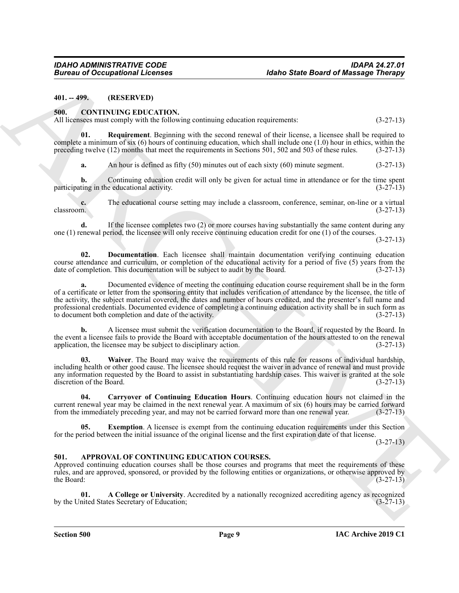<span id="page-8-0"></span>**401. -- 499. (RESERVED)**

#### <span id="page-8-5"></span><span id="page-8-1"></span>**500. CONTINUING EDUCATION.**

All licensees must comply with the following continuing education requirements: (3-27-13)

**01. Requirement**. Beginning with the second renewal of their license, a licensee shall be required to complete a minimum of six (6) hours of continuing education, which shall include one (1.0) hour in ethics, within the preceding twelve (12) months that meet the requirements in Sections 501, 502 and 503 of these rules. (3-27-13)

<span id="page-8-9"></span>**a.** An hour is defined as fifty (50) minutes out of each sixty (60) minute segment. (3-27-13)

**b.** Continuing education credit will only be given for actual time in attendance or for the time spent participating in the educational activity. (3-27-13)

**c.** The educational course setting may include a classroom, conference, seminar, on-line or a virtual classroom.  $(3-27-13)$ classroom. (3-27-13)

**d.** If the licensee completes two (2) or more courses having substantially the same content during any one (1) renewal period, the licensee will only receive continuing education credit for one (1) of the courses.

(3-27-13)

<span id="page-8-7"></span>**02. Documentation**. Each licensee shall maintain documentation verifying continuing education course attendance and curriculum, or completion of the educational activity for a period of five (5) years from the date of completion. This documentation will be subject to audit by the Board. (3-27-13) date of completion. This documentation will be subject to audit by the Board.

**Europe of Occupations I. February 1998**<br>
46the State Board of Maximige Christian (1998)<br>
411. COVITNUES CIPIC CATION.<br>
ARCHIVE CONTONING TRIC CATION.<br>
ARCHIVE CONTONING TRIC CATION.<br>
41. Requirement Beginning value for e **a.** Documented evidence of meeting the continuing education course requirement shall be in the form of a certificate or letter from the sponsoring entity that includes verification of attendance by the licensee, the title of the activity, the subject material covered, the dates and number of hours credited, and the presenter's full name and professional credentials. Documented evidence of completing a continuing education activity shall be in such form as to document both completion and date of the activity. (3-27-13) to document both completion and date of the activity.

**b.** A licensee must submit the verification documentation to the Board, if requested by the Board. In the event a licensee fails to provide the Board with acceptable documentation of the hours attested to on the renewal application, the licensee may be subject to disciplinary action. (3-27-13) application, the licensee may be subject to disciplinary action.

<span id="page-8-10"></span>**03. Waiver**. The Board may waive the requirements of this rule for reasons of individual hardship, including health or other good cause. The licensee should request the waiver in advance of renewal and must provide any information requested by the Board to assist in substantiating hardship cases. This waiver is granted at the sole discretion of the Board. (3-27-13) discretion of the Board.

<span id="page-8-6"></span>**04. Carryover of Continuing Education Hours**. Continuing education hours not claimed in the current renewal year may be claimed in the next renewal year. A maximum of six (6) hours may be carried forward from the immediately preceding year, and may not be carried forward more than one renewal year. (3-27-13)

<span id="page-8-8"></span>**05.** Exemption. A licensee is exempt from the continuing education requirements under this Section for the period between the initial issuance of the original license and the first expiration date of that license.

(3-27-13)

#### <span id="page-8-3"></span><span id="page-8-2"></span>**501. APPROVAL OF CONTINUING EDUCATION COURSES.**

Approved continuing education courses shall be those courses and programs that meet the requirements of these rules, and are approved, sponsored, or provided by the following entities or organizations, or otherwise approved by the Board:  $(3-27-13)$ 

<span id="page-8-4"></span>**01. A College or University**. Accredited by a nationally recognized accrediting agency as recognized by the United States Secretary of Education;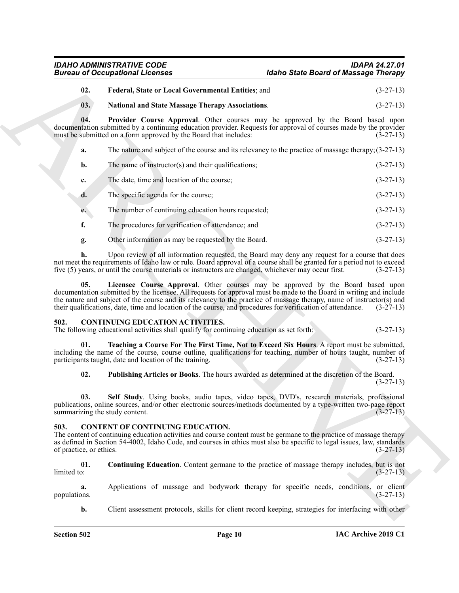### *IDAHO ADMINISTRATIVE CODE IDAPA 24.27.01 Idaho State Board of Massage Therapy*

#### <span id="page-9-2"></span>**02. Federal, State or Local Governmental Entities**; and (3-27-13)

#### <span id="page-9-5"></span><span id="page-9-4"></span>**03. National and State Massage Therapy Associations**. (3-27-13)

**04. Provider Course Approval**. Other courses may be approved by the Board based upon documentation submitted by a continuing education provider. Requests for approval of courses made by the provider must be submitted on a form approved by the Board that includes: (3-27-13) must be submitted on a form approved by the Board that includes:

| а. |  | The nature and subject of the course and its relevancy to the practice of massage therapy; $(3-27-13)$ |  |  |
|----|--|--------------------------------------------------------------------------------------------------------|--|--|
|----|--|--------------------------------------------------------------------------------------------------------|--|--|

| The name of instructor(s) and their qualifications; | $(3-27-13)$ |
|-----------------------------------------------------|-------------|
|-----------------------------------------------------|-------------|

- **c.** The date, time and location of the course; (3-27-13)
- **d.** The specific agenda for the course; (3-27-13)
- **e.** The number of continuing education hours requested; (3-27-13)
- **f.** The procedures for verification of attendance; and  $(3-27-13)$
- <span id="page-9-3"></span>**g.** Other information as may be requested by the Board. (3-27-13)

**h.** Upon review of all information requested, the Board may deny any request for a course that does not meet the requirements of Idaho law or rule. Board approval of a course shall be granted for a period not to exceed five (5) years, or until the course materials or instructors are changed, whichever may occur first. (3-27-13)

Given to Occupiesian is the set of the term of the set of the set of the set of the set of the set of the set of the set of the set of the set of the set of the set of the set of the set of the set of the set of the set o **05. Licensee Course Approval**. Other courses may be approved by the Board based upon documentation submitted by the licensee. All requests for approval must be made to the Board in writing and include the nature and subject of the course and its relevancy to the practice of massage therapy, name of instructor(s) and their qualifications, date, time and location of the course, and procedures for verification of attendance. (3-27-13)

#### <span id="page-9-8"></span><span id="page-9-0"></span>**502. CONTINUING EDUCATION ACTIVITIES.**

The following educational activities shall qualify for continuing education as set forth: (3-27-13)

**01. Teaching a Course For The First Time, Not to Exceed Six Hours**. A report must be submitted, including the name of the course, course outline, qualifications for teaching, number of hours taught, number of participants taught, date and location of the training. (3-27-13)

<span id="page-9-11"></span><span id="page-9-10"></span><span id="page-9-9"></span>**02. Publishing Articles or Books**. The hours awarded as determined at the discretion of the Board. (3-27-13)

**03. Self Study**. Using books, audio tapes, video tapes, DVD's, research materials, professional publications, online sources, and/or other electronic sources/methods documented by a type-written two-page report summarizing the study content. summarizing the study content.

#### <span id="page-9-6"></span><span id="page-9-1"></span>**503. CONTENT OF CONTINUING EDUCATION.**

The content of continuing education activities and course content must be germane to the practice of massage therapy as defined in Section 54-4002, Idaho Code, and courses in ethics must also be specific to legal issues, law, standards of practice, or ethics. (3-27-13) of practice, or ethics.

<span id="page-9-7"></span>**01.** Continuing Education. Content germane to the practice of massage therapy includes, but is not limited to:  $(3-27-13)$  $\text{limited to:} \tag{3-27-13}$ 

**a.** Applications of massage and bodywork therapy for specific needs, conditions, or client (3-27-13) populations.

**b.** Client assessment protocols, skills for client record keeping, strategies for interfacing with other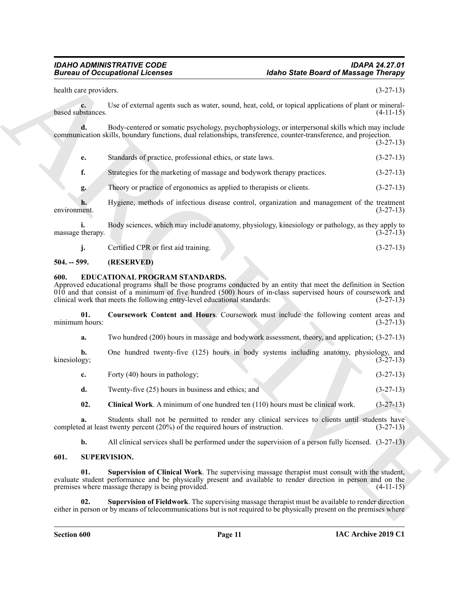|                         | <b>Bureau of Occupational Licenses</b><br><b>Idaho State Board of Massage Therapy</b>                                                                                                                                                                                                                                                               |                                                          |
|-------------------------|-----------------------------------------------------------------------------------------------------------------------------------------------------------------------------------------------------------------------------------------------------------------------------------------------------------------------------------------------------|----------------------------------------------------------|
| health care providers.  |                                                                                                                                                                                                                                                                                                                                                     | $(3-27-13)$                                              |
| c.<br>based substances. | Use of external agents such as water, sound, heat, cold, or topical applications of plant or mineral-                                                                                                                                                                                                                                               | $(4-11-15)$                                              |
|                         | Body-centered or somatic psychology, psychophysiology, or interpersonal skills which may include<br>communication skills, boundary functions, dual relationships, transference, counter-transference, and projection.                                                                                                                               | $(3-27-13)$                                              |
| е.                      | Standards of practice, professional ethics, or state laws.                                                                                                                                                                                                                                                                                          | $(3-27-13)$                                              |
| f.                      | Strategies for the marketing of massage and bodywork therapy practices.                                                                                                                                                                                                                                                                             | $(3-27-13)$                                              |
| g.                      | Theory or practice of ergonomics as applied to therapists or clients.                                                                                                                                                                                                                                                                               | $(3-27-13)$                                              |
| environment.            | Hygiene, methods of infectious disease control, organization and management of the treatment                                                                                                                                                                                                                                                        | $(3-27-13)$                                              |
| massage therapy.        | Body sciences, which may include anatomy, physiology, kinesiology or pathology, as they apply to                                                                                                                                                                                                                                                    | $(3-27-13)$                                              |
| j.                      | Certified CPR or first aid training.                                                                                                                                                                                                                                                                                                                | $(3-27-13)$                                              |
| $504. - 599.$           | (RESERVED)                                                                                                                                                                                                                                                                                                                                          |                                                          |
| 600.                    | EDUCATIONAL PROGRAM STANDARDS.<br>Approved educational programs shall be those programs conducted by an entity that meet the definition in Section<br>$010$ and that consist of a minimum of five hundred $(500)$ hours of in-class supervised hours of coursework and<br>clinical work that meets the following entry-level educational standards: | $(3-27-13)$                                              |
| 01.                     | Coursework Content and Hours. Coursework must include the following content areas and                                                                                                                                                                                                                                                               |                                                          |
| minimum hours:          |                                                                                                                                                                                                                                                                                                                                                     |                                                          |
| a.                      | Two hundred (200) hours in massage and bodywork assessment, theory, and application; (3-27-13)                                                                                                                                                                                                                                                      |                                                          |
| b.<br>kinesiology;      | One hundred twenty-five (125) hours in body systems including anatomy, physiology, and                                                                                                                                                                                                                                                              |                                                          |
| c.                      | Forty (40) hours in pathology;                                                                                                                                                                                                                                                                                                                      |                                                          |
| d.                      | Twenty-five (25) hours in business and ethics; and                                                                                                                                                                                                                                                                                                  | $(3-27-13)$                                              |
| 02.                     | Clinical Work. A minimum of one hundred ten (110) hours must be clinical work.                                                                                                                                                                                                                                                                      | $(3-27-13)$                                              |
| a.                      | Students shall not be permitted to render any clinical services to clients until students have<br>completed at least twenty percent (20%) of the required hours of instruction.                                                                                                                                                                     |                                                          |
| b.                      | All clinical services shall be performed under the supervision of a person fully licensed. $(3-27-13)$                                                                                                                                                                                                                                              | $(3-27-13)$<br>$(3-27-13)$<br>$(3-27-13)$<br>$(3-27-13)$ |
| 601.                    | <b>SUPERVISION.</b>                                                                                                                                                                                                                                                                                                                                 |                                                          |
| 01.                     | Supervision of Clinical Work. The supervising massage therapist must consult with the student,<br>evaluate student performance and be physically present and available to render direction in person and on the<br>premises where massage therapy is being provided.                                                                                | $(4-11-15)$                                              |

#### <span id="page-10-0"></span>**504. -- 599. (RESERVED)**

#### <span id="page-10-5"></span><span id="page-10-3"></span><span id="page-10-1"></span>**600. EDUCATIONAL PROGRAM STANDARDS.**

<span id="page-10-4"></span>

| Forty (40) hours in pathology; |  | $(3-27-13)$ |
|--------------------------------|--|-------------|
|                                |  |             |

#### <span id="page-10-8"></span><span id="page-10-7"></span><span id="page-10-6"></span><span id="page-10-2"></span>**601. SUPERVISION.**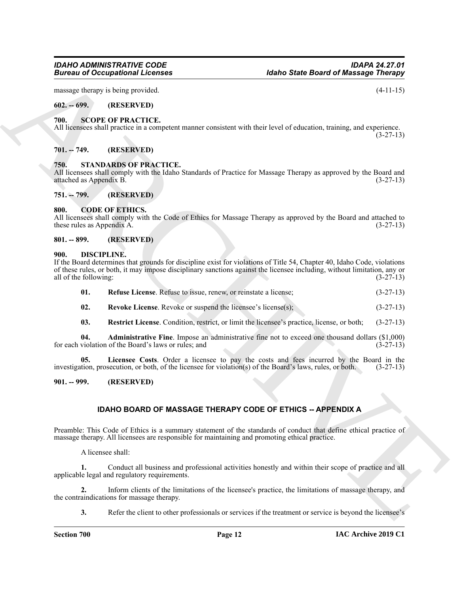# *IDAHO ADMINISTRATIVE CODE IDAPA 24.27.01*

massage therapy is being provided. (4-11-15)

#### <span id="page-11-0"></span>**602. -- 699. (RESERVED)**

#### <span id="page-11-16"></span><span id="page-11-1"></span>**700. SCOPE OF PRACTICE.**

All licensees shall practice in a competent manner consistent with their level of education, training, and experience. (3-27-13)

#### <span id="page-11-2"></span>**701. -- 749. (RESERVED)**

#### <span id="page-11-17"></span><span id="page-11-3"></span>**750. STANDARDS OF PRACTICE.**

All licensees shall comply with the Idaho Standards of Practice for Massage Therapy as approved by the Board and attached as Appendix B. (3-27-13) attached as Appendix B.

<span id="page-11-4"></span>**751. -- 799. (RESERVED)**

#### <span id="page-11-9"></span><span id="page-11-5"></span>**800. CODE OF ETHICS.**

All licensees shall comply with the Code of Ethics for Massage Therapy as approved by the Board and attached to these rules as Appendix A.  $(3-27-13)$ 

#### <span id="page-11-6"></span>**801. -- 899. (RESERVED)**

#### <span id="page-11-10"></span><span id="page-11-7"></span>**900. DISCIPLINE.**

**Electric and CORRESPONDENT (External Scheme Constrained Scheme Constrained Scheme Constrained Scheme Constrained Scheme Constrained Scheme Constrained Scheme Constrained Scheme Constrained Scheme Constrained Scheme Const** If the Board determines that grounds for discipline exist for violations of Title 54, Chapter 40, Idaho Code, violations of these rules, or both, it may impose disciplinary sanctions against the licensee including, without limitation, any or all of the following: (3-27-13) all of the following:

<span id="page-11-13"></span>

| 01. |  |  | <b>Refuse License.</b> Refuse to issue, renew, or reinstate a license: | $(3-27-13)$ |
|-----|--|--|------------------------------------------------------------------------|-------------|
|-----|--|--|------------------------------------------------------------------------|-------------|

- <span id="page-11-15"></span>**02.** Revoke License. Revoke or suspend the licensee's license(s); (3-27-13)
- <span id="page-11-14"></span><span id="page-11-12"></span><span id="page-11-11"></span>**03. Restrict License**. Condition, restrict, or limit the licensee's practice, license, or both; (3-27-13)

**04. Administrative Fine**. Impose an administrative fine not to exceed one thousand dollars (\$1,000) for each violation of the Board's laws or rules; and

**05. Licensee Costs**. Order a licensee to pay the costs and fees incurred by the Board in the investigation, prosecution, or both, of the licensee for violation(s) of the Board's laws, rules, or both. (3-27-13)

<span id="page-11-8"></span>**901. -- 999. (RESERVED)**

#### **IDAHO BOARD OF MASSAGE THERAPY CODE OF ETHICS -- APPENDIX A**

Preamble: This Code of Ethics is a summary statement of the standards of conduct that define ethical practice of massage therapy. All licensees are responsible for maintaining and promoting ethical practice.

A licensee shall:

**1.** Conduct all business and professional activities honestly and within their scope of practice and all applicable legal and regulatory requirements.

**2.** Inform clients of the limitations of the licensee's practice, the limitations of massage therapy, and the contraindications for massage therapy.

**3.** Refer the client to other professionals or services if the treatment or service is beyond the licensee's

*Idaho State Board of Massage Therapy*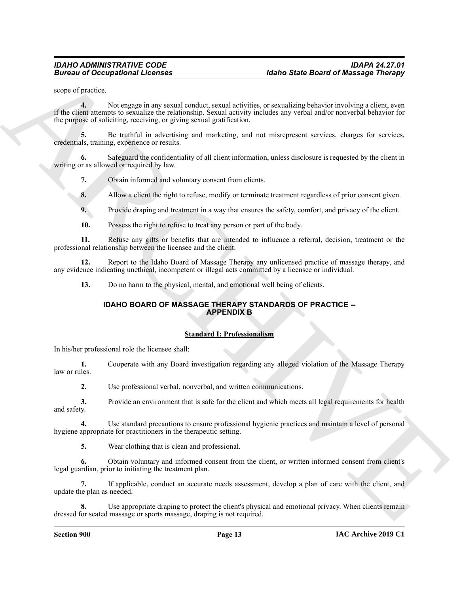scope of practice.

**Example 20** Conceptional Licenses<br>
Survey of productions and the state of the state of the state of the state of the state of the state of the state<br>  $\frac{1}{2}$  is a state of statistical results that the state and publish **4.** Not engage in any sexual conduct, sexual activities, or sexualizing behavior involving a client, even if the client attempts to sexualize the relationship. Sexual activity includes any verbal and/or nonverbal behavior for the purpose of soliciting, receiving, or giving sexual gratification.

**5.** Be truthful in advertising and marketing, and not misrepresent services, charges for services, credentials, training, experience or results.

**6.** Safeguard the confidentiality of all client information, unless disclosure is requested by the client in writing or as allowed or required by law.

**7.** Obtain informed and voluntary consent from clients.

**8.** Allow a client the right to refuse, modify or terminate treatment regardless of prior consent given.

**9.** Provide draping and treatment in a way that ensures the safety, comfort, and privacy of the client.

**10.** Possess the right to refuse to treat any person or part of the body.

**11.** Refuse any gifts or benefits that are intended to influence a referral, decision, treatment or the professional relationship between the licensee and the client.

**12.** Report to the Idaho Board of Massage Therapy any unlicensed practice of massage therapy, and any evidence indicating unethical, incompetent or illegal acts committed by a licensee or individual.

**13.** Do no harm to the physical, mental, and emotional well being of clients.

#### **IDAHO BOARD OF MASSAGE THERAPY STANDARDS OF PRACTICE -- APPENDIX B**

#### **Standard I: Professionalism**

In his/her professional role the licensee shall:

**1.** Cooperate with any Board investigation regarding any alleged violation of the Massage Therapy law or rules.

**2.** Use professional verbal, nonverbal, and written communications.

**3.** Provide an environment that is safe for the client and which meets all legal requirements for health and safety.

**4.** Use standard precautions to ensure professional hygienic practices and maintain a level of personal hygiene appropriate for practitioners in the therapeutic setting.

**5.** Wear clothing that is clean and professional.

**6.** Obtain voluntary and informed consent from the client, or written informed consent from client's legal guardian, prior to initiating the treatment plan.

**7.** If applicable, conduct an accurate needs assessment, develop a plan of care with the client, and update the plan as needed.

**8.** Use appropriate draping to protect the client's physical and emotional privacy. When clients remain dressed for seated massage or sports massage, draping is not required.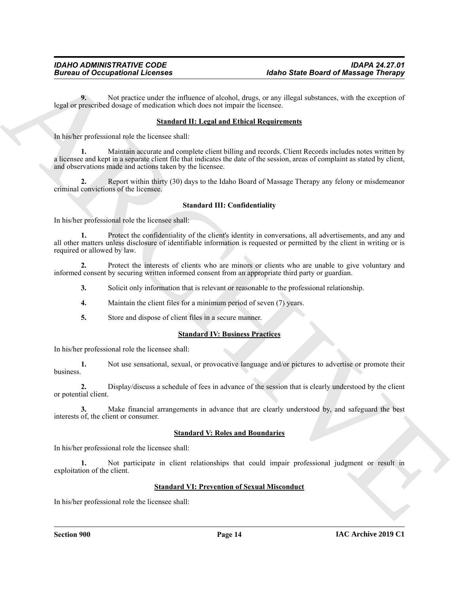**9.** Not practice under the influence of alcohol, drugs, or any illegal substances, with the exception of legal or prescribed dosage of medication which does not impair the licensee.

#### **Standard II: Legal and Ethical Requirements**

In his/her professional role the licensee shall:

Given to Occupations I Leonies (and the state of the state of the state of Maximige Theory<br>
Legislate processes the product on collision of the state of the state of the state of the state of the state of the state of the **1.** Maintain accurate and complete client billing and records. Client Records includes notes written by a licensee and kept in a separate client file that indicates the date of the session, areas of complaint as stated by client, and observations made and actions taken by the licensee.

**2.** Report within thirty (30) days to the Idaho Board of Massage Therapy any felony or misdemeanor criminal convictions of the licensee.

#### **Standard III: Confidentiality**

In his/her professional role the licensee shall:

**1.** Protect the confidentiality of the client's identity in conversations, all advertisements, and any and all other matters unless disclosure of identifiable information is requested or permitted by the client in writing or is required or allowed by law.

**2.** Protect the interests of clients who are minors or clients who are unable to give voluntary and informed consent by securing written informed consent from an appropriate third party or guardian.

**3.** Solicit only information that is relevant or reasonable to the professional relationship.

- **4.** Maintain the client files for a minimum period of seven (7) years.
- **5.** Store and dispose of client files in a secure manner.

#### **Standard IV: Business Practices**

In his/her professional role the licensee shall:

**1.** Not use sensational, sexual, or provocative language and/or pictures to advertise or promote their business.

**2.** Display/discuss a schedule of fees in advance of the session that is clearly understood by the client or potential client.

**3.** Make financial arrangements in advance that are clearly understood by, and safeguard the best interests of, the client or consumer.

#### **Standard V: Roles and Boundaries**

In his/her professional role the licensee shall:

**1.** Not participate in client relationships that could impair professional judgment or result in exploitation of the client.

#### **Standard VI: Prevention of Sexual Misconduct**

In his/her professional role the licensee shall: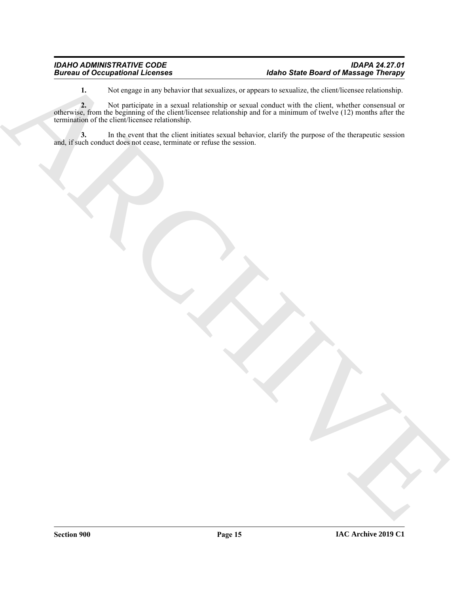**1.** Not engage in any behavior that sexualizes, or appears to sexualize, the client/licensee relationship.

Buriard of Conceptibility Lebends<br>
1. We can be studied to the formula conduction of the conduction of the studied of the studies of the studies of the studies of the studies of the studies of the studies of the studies of **2.** Not participate in a sexual relationship or sexual conduct with the client, whether consensual or otherwise, from the beginning of the client/licensee relationship and for a minimum of twelve (12) months after the termination of the client/licensee relationship.

**3.** In the event that the client initiates sexual behavior, clarify the purpose of the therapeutic session and, if such conduct does not cease, terminate or refuse the session.